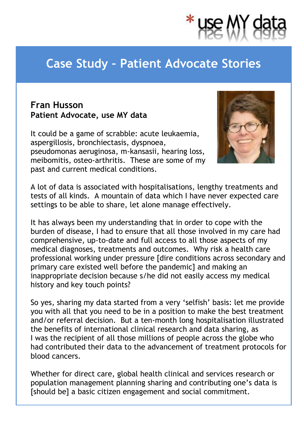

## **Case Study – Patient Advocate Stories**

## **Fran Husson Patient Advocate, use MY data**

It could be a game of scrabble: acute leukaemia, aspergillosis, bronchiectasis, dyspnoea, pseudomonas aeruginosa, m-kansasii, hearing loss, meibomitis, osteo-arthritis. These are some of my past and current medical conditions.



A lot of data is associated with hospitalisations, lengthy treatments and tests of all kinds. A mountain of data which I have never expected care settings to be able to share, let alone manage effectively.

It has always been my understanding that in order to cope with the burden of disease, I had to ensure that all those involved in my care had comprehensive, up-to-date and full access to all those aspects of my medical diagnoses, treatments and outcomes. Why risk a health care professional working under pressure [dire conditions across secondary and primary care existed well before the pandemic] and making an inappropriate decision because s/he did not easily access my medical history and key touch points?

So yes, sharing my data started from a very 'selfish' basis: let me provide you with all that you need to be in a position to make the best treatment and/or referral decision. But a ten-month long hospitalisation illustrated the benefits of international clinical research and data sharing, as I was the recipient of all those millions of people across the globe who had contributed their data to the advancement of treatment protocols for blood cancers.

Whether for direct care, global health clinical and services research or population management planning sharing and contributing one's data is [should be] a basic citizen engagement and social commitment.